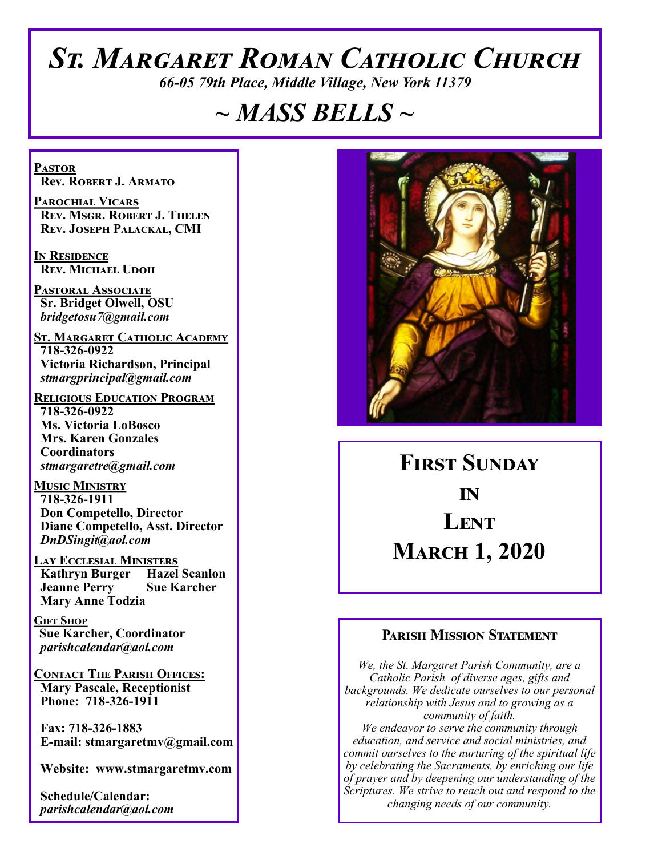# *St. Margaret Roman Catholic Church*

*66-05 79th Place, Middle Village, New York 11379*

# *~ MASS BELLS ~*

**Pastor Rev. Robert J. Armato**

**Parochial Vicars Rev. Msgr. Robert J. Thelen Rev. Joseph Palackal, CMI**

**In Residence Rev. Michael Udoh**

**Pastoral Associate Sr. Bridget Olwell, OSU**  *bridgetosu7@gmail.com*

**St. Margaret Catholic Academy 718-326-0922 Victoria Richardson, Principal**  *stmargprincipal@gmail.com*

**Religious Education Program 718-326-0922 Ms. Victoria LoBosco Mrs. Karen Gonzales Coordinators** *stmargaretre@gmail.com*

**Music Ministry 718-326-1911 Don Competello, Director Diane Competello, Asst. Director** *DnDSingit@aol.com*

**LAY ECCLESIAL MINISTERS<br>
Kathryn Burger Hazel Scanlon Kathryn Burger Jeanne Perry Sue Karcher Mary Anne Todzia**

**Gift Shop Sue Karcher, Coordinator** *parishcalendar@aol.com*

**Contact The Parish Offices: Mary Pascale, Receptionist Phone: 718-326-1911** 

 **Fax: 718-326-1883 E-mail: stmargaretmv@gmail.com**

 **Website: www.stmargaretmv.com**

 **Schedule/Calendar:** *parishcalendar@aol.com* 



**First Sunday in Lent March 1, 2020** 

### **Parish Mission Statement**

*We, the St. Margaret Parish Community, are a Catholic Parish of diverse ages, gifts and backgrounds. We dedicate ourselves to our personal relationship with Jesus and to growing as a community of faith. We endeavor to serve the community through education, and service and social ministries, and commit ourselves to the nurturing of the spiritual life by celebrating the Sacraments, by enriching our life of prayer and by deepening our understanding of the Scriptures. We strive to reach out and respond to the changing needs of our community.*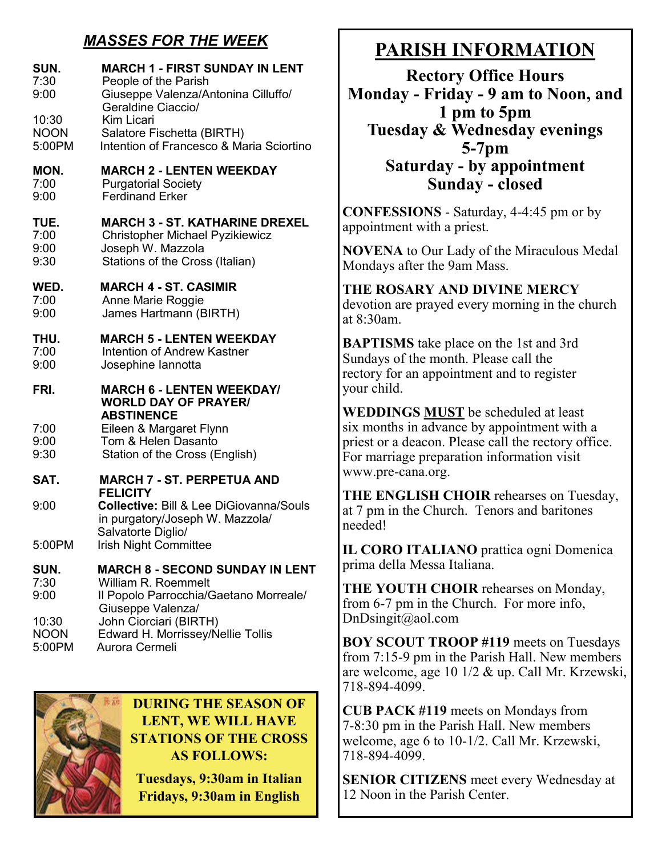## *MASSES FOR THE WEEK*

| SUN.<br>7:30<br>9:00<br>10:30<br><b>NOON</b><br>5:00PM | <b>MARCH 1 - FIRST SUNDAY IN LENT</b><br>People of the Parish<br>Giuseppe Valenza/Antonina Cilluffo/<br>Geraldine Ciaccio/<br>Kim Licari<br>Salatore Fischetta (BIRTH)<br>Intention of Francesco & Maria Sciortino |  |  |
|--------------------------------------------------------|--------------------------------------------------------------------------------------------------------------------------------------------------------------------------------------------------------------------|--|--|
| MON.<br>7:00<br>9:00                                   | <b>MARCH 2 - LENTEN WEEKDAY</b><br><b>Purgatorial Society</b><br><b>Ferdinand Erker</b>                                                                                                                            |  |  |
| TUE.<br>7:00<br>9:00<br>9:30                           | <b>MARCH 3 - ST. KATHARINE DREXEL</b><br><b>Christopher Michael Pyzikiewicz</b><br>Joseph W. Mazzola<br>Stations of the Cross (Italian)                                                                            |  |  |
| WED.<br>7:00<br>9:00                                   | <b>MARCH 4 - ST. CASIMIR</b><br>Anne Marie Roggie<br>James Hartmann (BIRTH)                                                                                                                                        |  |  |
| THU.<br>7:00<br>9:00                                   | <b>MARCH 5 - LENTEN WEEKDAY</b><br>Intention of Andrew Kastner<br>Josephine lannotta                                                                                                                               |  |  |
| FRI.<br>7:00<br>9:00<br>9:30                           | <b>MARCH 6 - LENTEN WEEKDAY/</b><br><b>WORLD DAY OF PRAYER/</b><br><b>ABSTINENCE</b><br>Eileen & Margaret Flynn<br>Tom & Helen Dasanto<br>Station of the Cross (English)                                           |  |  |
| SAT.                                                   | <b>MARCH 7 - ST. PERPETUA AND</b>                                                                                                                                                                                  |  |  |
| 9:00                                                   | <b>FELICITY</b><br><b>Collective: Bill &amp; Lee DiGiovanna/Souls</b><br>in purgatory/Joseph W. Mazzola/<br>Salvatorte Diglio/                                                                                     |  |  |
| 5:00PM                                                 | <b>Irish Night Committee</b>                                                                                                                                                                                       |  |  |
| SUN.<br>7:30<br>9:00<br>10:30                          | <b>MARCH 8 - SECOND SUNDAY IN LENT</b><br>William R. Roemmelt<br>Il Popolo Parrocchia/Gaetano Morreale/<br>Giuseppe Valenza/<br>John Ciorciari (BIRTH)                                                             |  |  |
| <b>NOON</b><br>5:00PM                                  | Edward H. Morrissey/Nellie Tollis<br>Aurora Cermeli                                                                                                                                                                |  |  |



**DURING THE SEASON OF LENT, WE WILL HAVE STATIONS OF THE CROSS AS FOLLOWS:**

**Tuesdays, 9:30am in Italian Fridays, 9:30am in English**

# **PARISH INFORMATION**

**Rectory Office Hours Monday - Friday - 9 am to Noon, and 1 pm to 5pm Tuesday & Wednesday evenings 5-7pm Saturday - by appointment Sunday - closed**

**CONFESSIONS** - Saturday, 4-4:45 pm or by appointment with a priest.

**NOVENA** to Our Lady of the Miraculous Medal Mondays after the 9am Mass.

#### **THE ROSARY AND DIVINE MERCY** devotion are prayed every morning in the church at 8:30am.

**BAPTISMS** take place on the 1st and 3rd Sundays of the month. Please call the rectory for an appointment and to register your child.

**WEDDINGS MUST** be scheduled at least six months in advance by appointment with a priest or a deacon. Please call the rectory office. For marriage preparation information visit www.pre-cana.org.

**THE ENGLISH CHOIR** rehearses on Tuesday, at 7 pm in the Church. Tenors and baritones needed!

**IL CORO ITALIANO** prattica ogni Domenica prima della Messa Italiana.

**THE YOUTH CHOIR** rehearses on Monday, from 6-7 pm in the Church. For more info, DnDsingit@aol.com

**BOY SCOUT TROOP #119** meets on Tuesdays from 7:15-9 pm in the Parish Hall. New members are welcome, age 10 1/2 & up. Call Mr. Krzewski, 718-894-4099.

**CUB PACK #119** meets on Mondays from 7-8:30 pm in the Parish Hall. New members welcome, age 6 to 10-1/2. Call Mr. Krzewski, 718-894-4099.

**SENIOR CITIZENS** meet every Wednesday at 12 Noon in the Parish Center.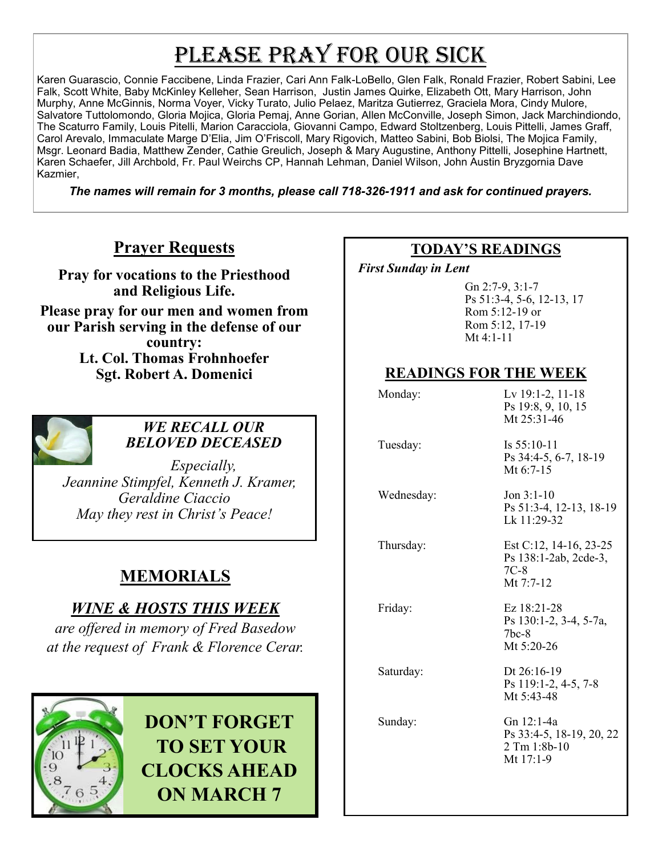# PLEASE PRAY FOR OUR SICK

Karen Guarascio, Connie Faccibene, Linda Frazier, Cari Ann Falk-LoBello, Glen Falk, Ronald Frazier, Robert Sabini, Lee Falk, Scott White, Baby McKinley Kelleher, Sean Harrison, Justin James Quirke, Elizabeth Ott, Mary Harrison, John Murphy, Anne McGinnis, Norma Voyer, Vicky Turato, Julio Pelaez, Maritza Gutierrez, Graciela Mora, Cindy Mulore, Salvatore Tuttolomondo, Gloria Mojica, Gloria Pemaj, Anne Gorian, Allen McConville, Joseph Simon, Jack Marchindiondo, The Scaturro Family, Louis Pitelli, Marion Caracciola, Giovanni Campo, Edward Stoltzenberg, Louis Pittelli, James Graff, Carol Arevalo, Immaculate Marge D'Elia, Jim O'Friscoll, Mary Rigovich, Matteo Sabini, Bob Biolsi, The Mojica Family, Msgr. Leonard Badia, Matthew Zender, Cathie Greulich, Joseph & Mary Augustine, Anthony Pittelli, Josephine Hartnett, Karen Schaefer, Jill Archbold, Fr. Paul Weirchs CP, Hannah Lehman, Daniel Wilson, John Austin Bryzgornia Dave Kazmier,

*The names will remain for 3 months, please call 718-326-1911 and ask for continued prayers.*

## **Prayer Requests**

**Pray for vocations to the Priesthood and Religious Life.** 

**Please pray for our men and women from our Parish serving in the defense of our country: Lt. Col. Thomas Frohnhoefer Sgt. Robert A. Domenici** 



### *WE RECALL OUR BELOVED DECEASED*

*Especially, Jeannine Stimpfel, Kenneth J. Kramer, Geraldine Ciaccio May they rest in Christ's Peace!*

# **MEMORIALS**

## *WINE & HOSTS THIS WEEK*

*are offered in memory of Fred Basedow at the request of Frank & Florence Cerar.* 



**DON'T FORGET TO SET YOUR CLOCKS AHEAD ON MARCH 7**

### **TODAY'S READINGS**

 *First Sunday in Lent* 

Gn 2:7-9, 3:1-7 Ps 51:3-4, 5-6, 12-13, 17 Rom 5:12-19 or Rom 5:12, 17-19 Mt 4:1-11

## **READINGS FOR THE WEEK**

| Monday:    | Lv 19:1-2, 11-18<br>Ps 19:8, 9, 10, 15<br>Mt 25:31-46                          |
|------------|--------------------------------------------------------------------------------|
| Tuesday:   | Is $55:10-11$<br>Ps 34:4-5, 6-7, 18-19<br>Mt $6:7-15$                          |
| Wednesday: | Jon $3:1-10$<br>Ps 51:3-4, 12-13, 18-19<br>Lk 11:29-32                         |
| Thursday:  | Est C:12, 14-16, 23-25<br>Ps 138:1-2ab, 2cde-3,<br>$7C-8$<br>Mt $7:7-12$       |
| Friday:    | Ez 18:21-28<br>Ps 130:1-2, 3-4, 5-7a,<br>$7$ <sub>bc</sub> - $8$<br>Mt 5:20-26 |
| Saturday:  | Dt $26:16-19$<br>Ps 119:1-2, 4-5, 7-8<br>Mt 5:43-48                            |
| Sunday:    | Gn 12:1-4a<br>Ps 33:4-5, 18-19, 20, 22<br>2 Tm 1:8b-10<br>Mt 17:1-9            |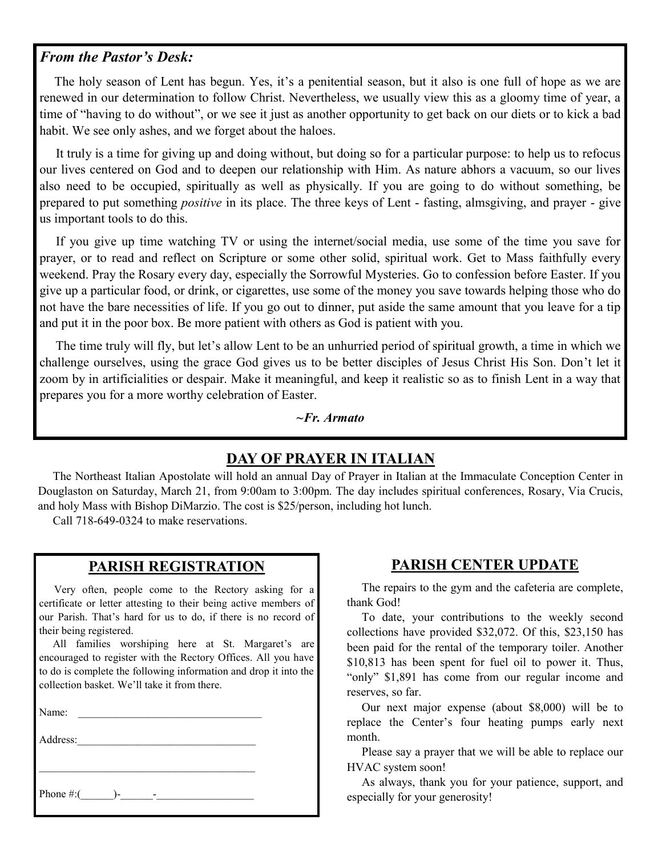#### *From the Pastor's Desk:*

 The holy season of Lent has begun. Yes, it's a penitential season, but it also is one full of hope as we are renewed in our determination to follow Christ. Nevertheless, we usually view this as a gloomy time of year, a time of "having to do without", or we see it just as another opportunity to get back on our diets or to kick a bad habit. We see only ashes, and we forget about the haloes.

 It truly is a time for giving up and doing without, but doing so for a particular purpose: to help us to refocus our lives centered on God and to deepen our relationship with Him. As nature abhors a vacuum, so our lives also need to be occupied, spiritually as well as physically. If you are going to do without something, be prepared to put something *positive* in its place. The three keys of Lent - fasting, almsgiving, and prayer - give us important tools to do this.

 If you give up time watching TV or using the internet/social media, use some of the time you save for prayer, or to read and reflect on Scripture or some other solid, spiritual work. Get to Mass faithfully every weekend. Pray the Rosary every day, especially the Sorrowful Mysteries. Go to confession before Easter. If you give up a particular food, or drink, or cigarettes, use some of the money you save towards helping those who do not have the bare necessities of life. If you go out to dinner, put aside the same amount that you leave for a tip and put it in the poor box. Be more patient with others as God is patient with you.

 The time truly will fly, but let's allow Lent to be an unhurried period of spiritual growth, a time in which we challenge ourselves, using the grace God gives us to be better disciples of Jesus Christ His Son. Don't let it zoom by in artificialities or despair. Make it meaningful, and keep it realistic so as to finish Lent in a way that prepares you for a more worthy celebration of Easter.

#### *~Fr. Armato*

### **DAY OF PRAYER IN ITALIAN**

 The Northeast Italian Apostolate will hold an annual Day of Prayer in Italian at the Immaculate Conception Center in Douglaston on Saturday, March 21, from 9:00am to 3:00pm. The day includes spiritual conferences, Rosary, Via Crucis, and holy Mass with Bishop DiMarzio. The cost is \$25/person, including hot lunch.

Call 718-649-0324 to make reservations.

### **PARISH REGISTRATION**

 Very often, people come to the Rectory asking for a certificate or letter attesting to their being active members of our Parish. That's hard for us to do, if there is no record of their being registered.

 All families worshiping here at St. Margaret's are encouraged to register with the Rectory Offices. All you have to do is complete the following information and drop it into the collection basket. We'll take it from there.

Name:

| Address:        |  |
|-----------------|--|
|                 |  |
|                 |  |
| Phone #:(<br>۰. |  |

#### **PARISH CENTER UPDATE**

 The repairs to the gym and the cafeteria are complete, thank God!

 To date, your contributions to the weekly second collections have provided \$32,072. Of this, \$23,150 has been paid for the rental of the temporary toiler. Another \$10,813 has been spent for fuel oil to power it. Thus, "only" \$1,891 has come from our regular income and reserves, so far.

 Our next major expense (about \$8,000) will be to replace the Center's four heating pumps early next month.

 Please say a prayer that we will be able to replace our HVAC system soon!

 As always, thank you for your patience, support, and especially for your generosity!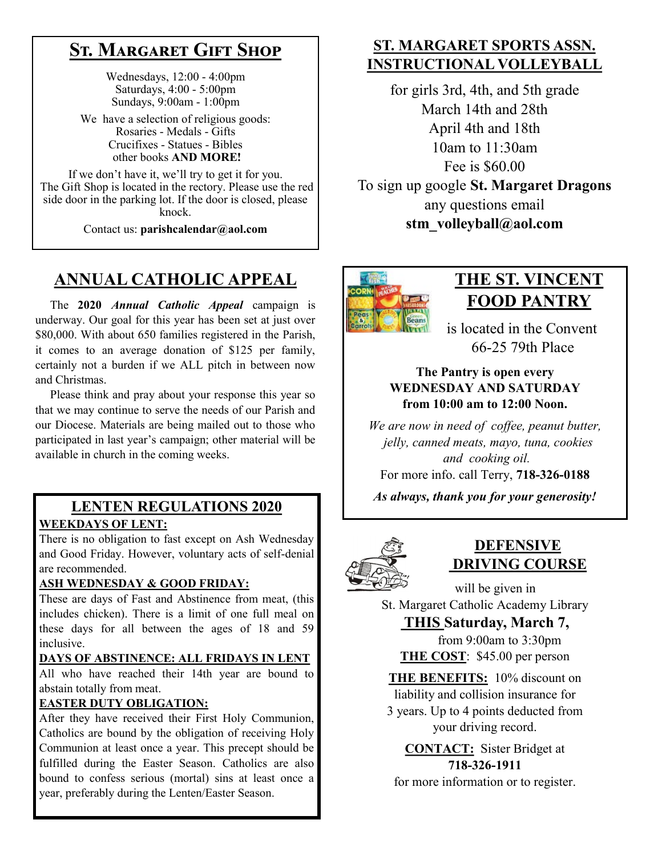# **St. Margaret Gift Shop**

Wednesdays, 12:00 - 4:00pm Saturdays, 4:00 - 5:00pm Sundays, 9:00am - 1:00pm

We have a selection of religious goods: Rosaries - Medals - Gifts Crucifixes - Statues - Bibles other books **AND MORE!**

If we don't have it, we'll try to get it for you. The Gift Shop is located in the rectory. Please use the red side door in the parking lot. If the door is closed, please knock.

Contact us: **parishcalendar@aol.com**

# **ANNUAL CATHOLIC APPEAL**

 The **2020** *Annual Catholic Appeal* campaign is underway. Our goal for this year has been set at just over \$80,000. With about 650 families registered in the Parish, it comes to an average donation of \$125 per family, certainly not a burden if we ALL pitch in between now and Christmas.

 Please think and pray about your response this year so that we may continue to serve the needs of our Parish and our Diocese. Materials are being mailed out to those who participated in last year's campaign; other material will be available in church in the coming weeks.

### **LENTEN REGULATIONS 2020 WEEKDAYS OF LENT:**

There is no obligation to fast except on Ash Wednesday and Good Friday. However, voluntary acts of self-denial are recommended.

#### **ASH WEDNESDAY & GOOD FRIDAY:**

These are days of Fast and Abstinence from meat, (this includes chicken). There is a limit of one full meal on these days for all between the ages of 18 and 59 inclusive.

#### **DAYS OF ABSTINENCE: ALL FRIDAYS IN LENT**

All who have reached their 14th year are bound to abstain totally from meat.

#### **EASTER DUTY OBLIGATION:**

After they have received their First Holy Communion, Catholics are bound by the obligation of receiving Holy Communion at least once a year. This precept should be fulfilled during the Easter Season. Catholics are also bound to confess serious (mortal) sins at least once a year, preferably during the Lenten/Easter Season.

### **ST. MARGARET SPORTS ASSN. INSTRUCTIONAL VOLLEYBALL**

for girls 3rd, 4th, and 5th grade March 14th and 28th April 4th and 18th 10am to 11:30am Fee is \$60.00 To sign up google **St. Margaret Dragons** any questions email **stm\_volleyball@aol.com**



# **THE ST. VINCENT FOOD PANTRY**

 is located in the Convent 66-25 79th Place

### **The Pantry is open every WEDNESDAY AND SATURDAY from 10:00 am to 12:00 Noon.**

*We are now in need of coffee, peanut butter, jelly, canned meats, mayo, tuna, cookies and cooking oil.* 

For more info. call Terry, **718-326-0188**

*As always, thank you for your generosity!*



### **DEFENSIVE DRIVING COURSE**

 will be given in St. Margaret Catholic Academy Library

**THIS Saturday, March 7,** from 9:00am to 3:30pm

**THE COST**: \$45.00 per person

**THE BENEFITS:** 10% discount on liability and collision insurance for 3 years. Up to 4 points deducted from your driving record.

**CONTACT:** Sister Bridget at **718-326-1911**

for more information or to register.